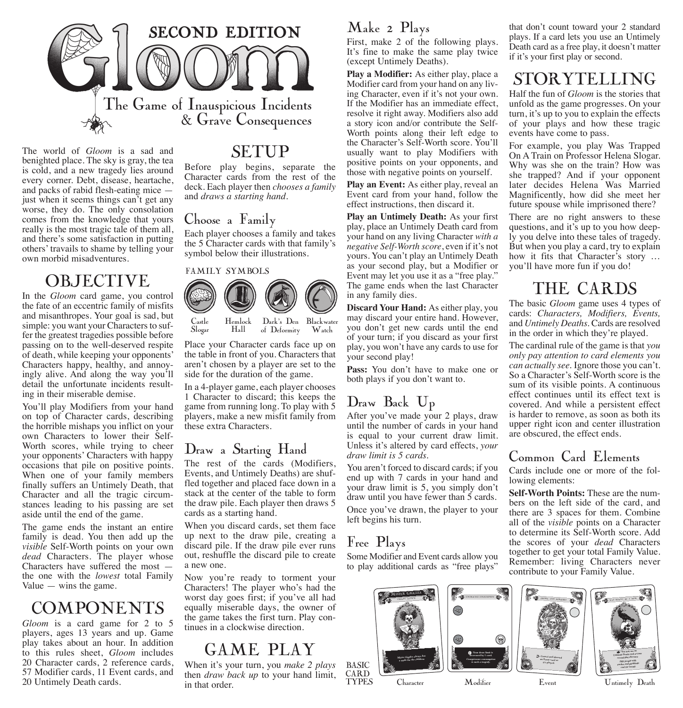

The world of *Gloom* is a sad and benighted place. The sky is gray, the tea is cold, and a new tragedy lies around every corner. Debt, disease, heartache, and packs of rabid flesh-eating mice just when it seems things can't get any worse, they do. The only consolation comes from the knowledge that yours really is the most tragic tale of them all, and there's some satisfaction in putting others' travails to shame by telling your own morbid misadventures.

# **OBJECTIVE**

In the *Gloom* card game, you control the fate of an eccentric family of misfits and misanthropes. Your goal is sad, but simple: you want your Characters to suffer the greatest tragedies possible before passing on to the well-deserved respite of death, while keeping your opponents' Characters happy, healthy, and annoyingly alive. And along the way you'll detail the unfortunate incidents resulting in their miserable demise.

You'll play Modifiers from your hand on top of Character cards, describing the horrible mishaps you inflict on your own Characters to lower their Self-Worth scores, while trying to cheer your opponents' Characters with happy occasions that pile on positive points. When one of your family members finally suffers an Untimely Death, that Character and all the tragic circumstances leading to his passing are set aside until the end of the game.

The game ends the instant an entire family is dead. You then add up the *visible* Self-Worth points on your own *dead* Characters. The player whose Characters have suffered the most the one with the *lowest* total Family Value  $-$  wins the game.

# **COMPONENTS**

*Gloom* is a card game for 2 to 5 players, ages 13 years and up. Game play takes about an hour. In addition to this rules sheet, *Gloom* includes 20 Character cards, 2 reference cards, 57 Modifier cards, 11 Event cards, and 20 Untimely Death cards.

# SETUP

Before play begins, separate the Character cards from the rest of the deck. Each player then *chooses a family*  and *draws a starting hand*.

### Choose a Family

Slogar

Each player chooses a family and takes the 5 Character cards with that family's symbol below their illustrations.



Hall Blackwater Dark's Den Watch of Deformity

Place your Character cards face up on the table in front of you. Characters that aren't chosen by a player are set to the side for the duration of the game.

In a 4-player game, each player chooses 1 Character to discard; this keeps the game from running long. To play with 5 players, make a new misfit family from these extra Characters.

### Draw a Starting Hand

The rest of the cards (Modifiers, Events, and Untimely Deaths) are shuffled together and placed face down in a stack at the center of the table to form the draw pile. Each player then draws 5 cards as a starting hand.

When you discard cards, set them face up next to the draw pile, creating a discard pile. If the draw pile ever runs out, reshuffle the discard pile to create a new one.

Now you're ready to torment your Characters! The player who's had the worst day goes first; if you've all had equally miserable days, the owner of the game takes the first turn. Play continues in a clockwise direction.

# GAME PLAY

When it's your turn, you *make 2 plays* then *draw back up* to your hand limit, in that order.

### Make 2 Plays

First, make 2 of the following plays. It's fine to make the same play twice (except Untimely Deaths).

**Play a Modifier:** As either play, place a Modifier card from your hand on any living Character, even if it's not your own. If the Modifier has an immediate effect, resolve it right away. Modifiers also add a story icon and/or contribute the Self-Worth points along their left edge to the Character's Self-Worth score. You'll usually want to play Modifiers with positive points on your opponents, and those with negative points on yourself.

**Play an Event:** As either play, reveal an Event card from your hand, follow the effect instructions, then discard it.

**Play an Untimely Death:** As your first play, place an Untimely Death card from your hand on any living Character *with a negative Self-Worth score*, even if it's not yours. You can't play an Untimely Death as your second play, but a Modifier or Event may let you use it as a "free play." The game ends when the last Character in any family dies.

**Discard Your Hand:** As either play, you may discard your entire hand. However, you don't get new cards until the end of your turn; if you discard as your first play, you won't have any cards to use for your second play!

**Pass:** You don't have to make one or both plays if you don't want to.

# Draw Back Up

After you've made your 2 plays, draw until the number of cards in your hand is equal to your current draw limit. Unless it's altered by card effects, *your draw limit is 5 cards.* 

You aren't forced to discard cards; if you end up with 7 cards in your hand and your draw limit is 5, you simply don't draw until you have fewer than 5 cards. Once you've drawn, the player to your left begins his turn.

## Free Plays

Basic **CARD TYPES** 

Some Modifier and Event cards allow you to play additional cards as "free plays"



that don't count toward your 2 standard plays. If a card lets you use an Untimely Death card as a free play, it doesn't matter if it's your first play or second.

# STORYTELLING

Half the fun of *Gloom* is the stories that unfold as the game progresses. On your turn, it's up to you to explain the effects of your plays and how these tragic events have come to pass.

For example, you play Was Trapped On A Train on Professor Helena Slogar. Why was she on the train? How was she trapped? And if your opponent later decides Helena Was Married Magnificently, how did she meet her future spouse while imprisoned there?

There are no right answers to these questions, and it's up to you how deeply you delve into these tales of tragedy. But when you play a card, try to explain how it fits that Character's story … you'll have more fun if you do!

# THE CARDS

The basic *Gloom* game uses 4 types of cards: *Characters, Modifiers, Events,* and *Untimely Deaths.* Cards are resolved in the order in which they're played.

The cardinal rule of the game is that *you only pay attention to card elements you can actually see.* Ignore those you can't. So a Character's Self-Worth score is the sum of its visible points. A continuous effect continues until its effect text is covered. And while a persistent effect is harder to remove, as soon as both its upper right icon and center illustration are obscured, the effect ends.

### Common Card Elements

Cards include one or more of the following elements:

**Self-Worth Points:** These are the numbers on the left side of the card, and there are 3 spaces for them. Combine all of the *visible* points on a Character to determine its Self-Worth score. Add the scores of your *dead* Characters together to get your total Family Value. Remember: living Characters never contribute to your Family Value.



Character Modifier Event Untimely Death